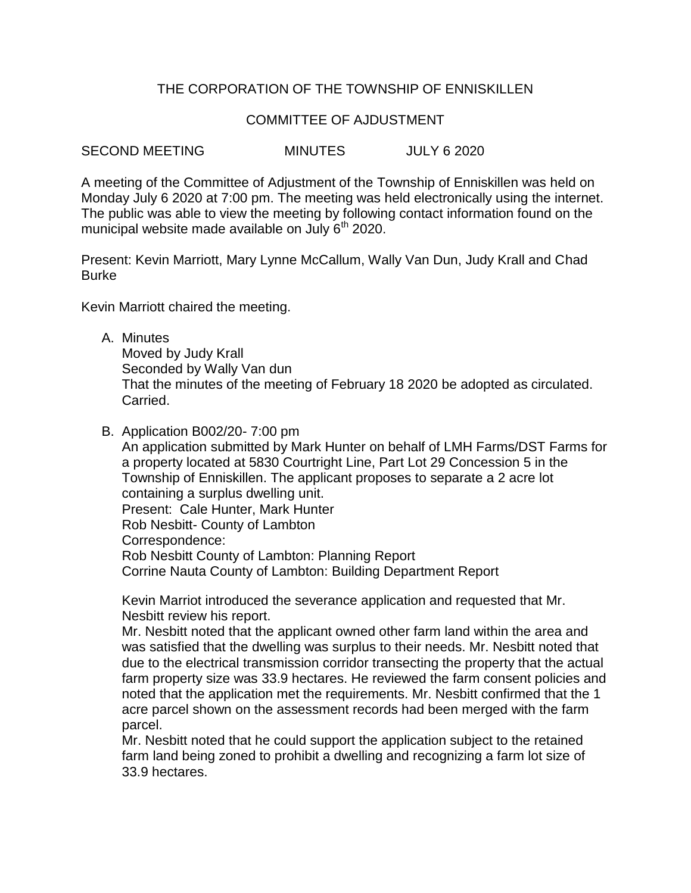# THE CORPORATION OF THE TOWNSHIP OF ENNISKILLEN

## COMMITTEE OF AJDUSTMENT

SECOND MEETING MINUTES JULY 6 2020

A meeting of the Committee of Adjustment of the Township of Enniskillen was held on Monday July 6 2020 at 7:00 pm. The meeting was held electronically using the internet. The public was able to view the meeting by following contact information found on the municipal website made available on July  $6<sup>th</sup>$  2020.

Present: Kevin Marriott, Mary Lynne McCallum, Wally Van Dun, Judy Krall and Chad Burke

Kevin Marriott chaired the meeting.

A. Minutes

Moved by Judy Krall Seconded by Wally Van dun That the minutes of the meeting of February 18 2020 be adopted as circulated. Carried.

B. Application B002/20- 7:00 pm

An application submitted by Mark Hunter on behalf of LMH Farms/DST Farms for a property located at 5830 Courtright Line, Part Lot 29 Concession 5 in the Township of Enniskillen. The applicant proposes to separate a 2 acre lot containing a surplus dwelling unit. Present: Cale Hunter, Mark Hunter Rob Nesbitt- County of Lambton Correspondence: Rob Nesbitt County of Lambton: Planning Report

Corrine Nauta County of Lambton: Building Department Report

Kevin Marriot introduced the severance application and requested that Mr. Nesbitt review his report.

Mr. Nesbitt noted that the applicant owned other farm land within the area and was satisfied that the dwelling was surplus to their needs. Mr. Nesbitt noted that due to the electrical transmission corridor transecting the property that the actual farm property size was 33.9 hectares. He reviewed the farm consent policies and noted that the application met the requirements. Mr. Nesbitt confirmed that the 1 acre parcel shown on the assessment records had been merged with the farm parcel.

Mr. Nesbitt noted that he could support the application subject to the retained farm land being zoned to prohibit a dwelling and recognizing a farm lot size of 33.9 hectares.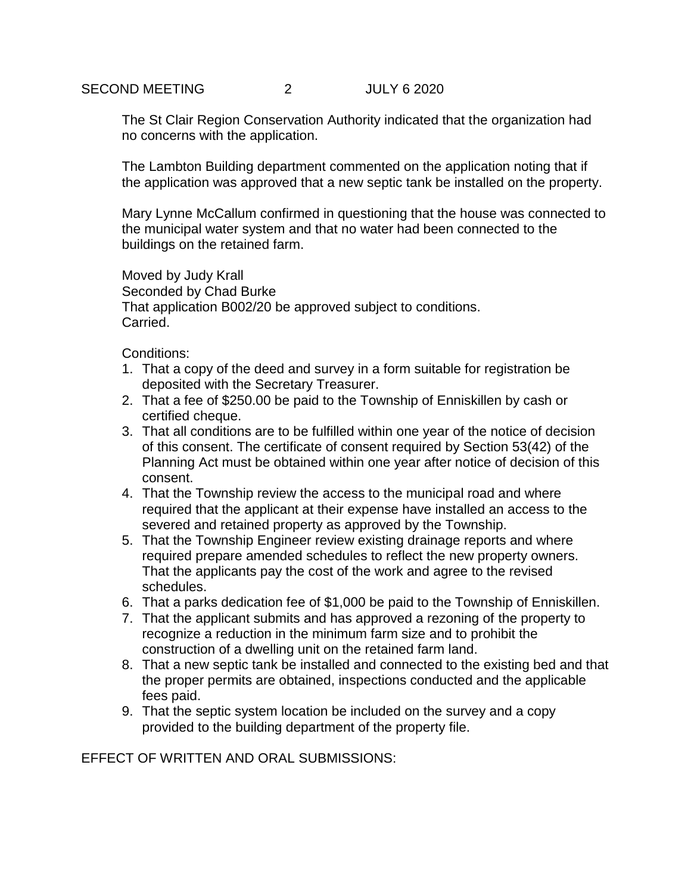The St Clair Region Conservation Authority indicated that the organization had no concerns with the application.

The Lambton Building department commented on the application noting that if the application was approved that a new septic tank be installed on the property.

Mary Lynne McCallum confirmed in questioning that the house was connected to the municipal water system and that no water had been connected to the buildings on the retained farm.

Moved by Judy Krall Seconded by Chad Burke That application B002/20 be approved subject to conditions. Carried.

Conditions:

- 1. That a copy of the deed and survey in a form suitable for registration be deposited with the Secretary Treasurer.
- 2. That a fee of \$250.00 be paid to the Township of Enniskillen by cash or certified cheque.
- 3. That all conditions are to be fulfilled within one year of the notice of decision of this consent. The certificate of consent required by Section 53(42) of the Planning Act must be obtained within one year after notice of decision of this consent.
- 4. That the Township review the access to the municipal road and where required that the applicant at their expense have installed an access to the severed and retained property as approved by the Township.
- 5. That the Township Engineer review existing drainage reports and where required prepare amended schedules to reflect the new property owners. That the applicants pay the cost of the work and agree to the revised schedules.
- 6. That a parks dedication fee of \$1,000 be paid to the Township of Enniskillen.
- 7. That the applicant submits and has approved a rezoning of the property to recognize a reduction in the minimum farm size and to prohibit the construction of a dwelling unit on the retained farm land.
- 8. That a new septic tank be installed and connected to the existing bed and that the proper permits are obtained, inspections conducted and the applicable fees paid.
- 9. That the septic system location be included on the survey and a copy provided to the building department of the property file.

EFFECT OF WRITTEN AND ORAL SUBMISSIONS: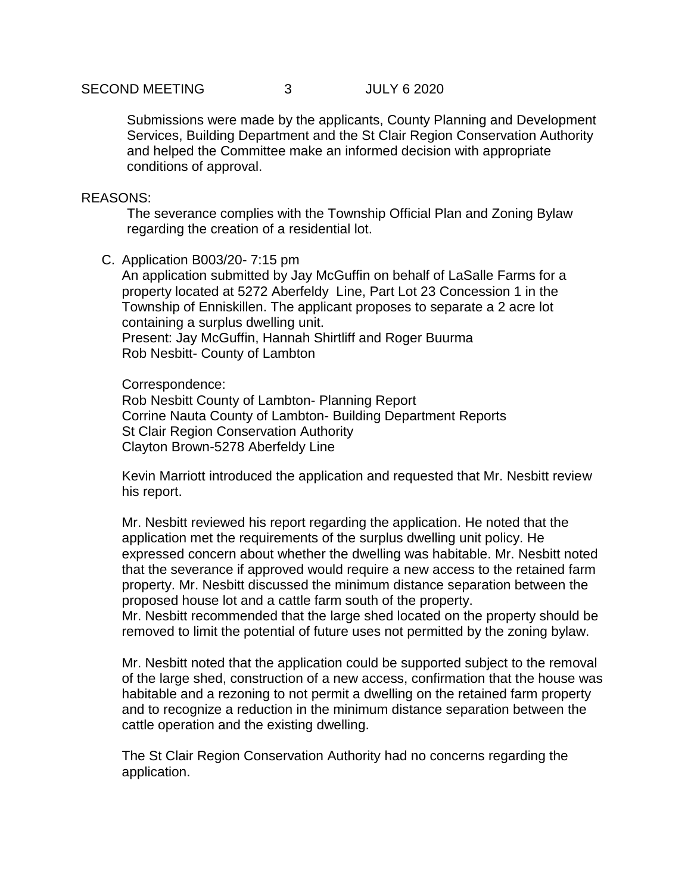Submissions were made by the applicants, County Planning and Development Services, Building Department and the St Clair Region Conservation Authority and helped the Committee make an informed decision with appropriate conditions of approval.

## REASONS:

The severance complies with the Township Official Plan and Zoning Bylaw regarding the creation of a residential lot.

C. Application B003/20- 7:15 pm

An application submitted by Jay McGuffin on behalf of LaSalle Farms for a property located at 5272 Aberfeldy Line, Part Lot 23 Concession 1 in the Township of Enniskillen. The applicant proposes to separate a 2 acre lot containing a surplus dwelling unit. Present: Jay McGuffin, Hannah Shirtliff and Roger Buurma Rob Nesbitt- County of Lambton

Correspondence:

Rob Nesbitt County of Lambton- Planning Report Corrine Nauta County of Lambton- Building Department Reports St Clair Region Conservation Authority Clayton Brown-5278 Aberfeldy Line

Kevin Marriott introduced the application and requested that Mr. Nesbitt review his report.

Mr. Nesbitt reviewed his report regarding the application. He noted that the application met the requirements of the surplus dwelling unit policy. He expressed concern about whether the dwelling was habitable. Mr. Nesbitt noted that the severance if approved would require a new access to the retained farm property. Mr. Nesbitt discussed the minimum distance separation between the proposed house lot and a cattle farm south of the property.

Mr. Nesbitt recommended that the large shed located on the property should be removed to limit the potential of future uses not permitted by the zoning bylaw.

Mr. Nesbitt noted that the application could be supported subject to the removal of the large shed, construction of a new access, confirmation that the house was habitable and a rezoning to not permit a dwelling on the retained farm property and to recognize a reduction in the minimum distance separation between the cattle operation and the existing dwelling.

The St Clair Region Conservation Authority had no concerns regarding the application.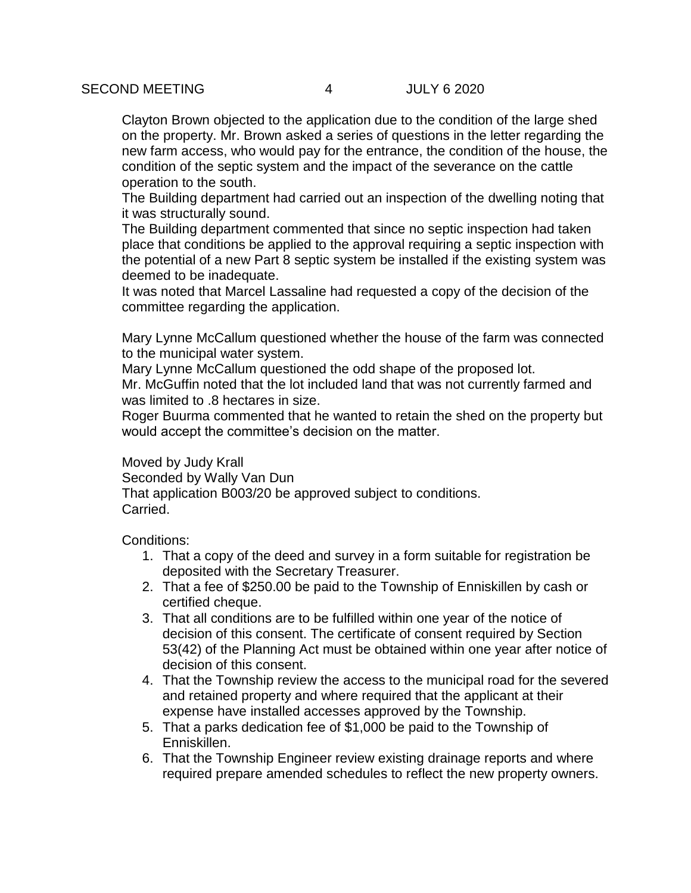Clayton Brown objected to the application due to the condition of the large shed on the property. Mr. Brown asked a series of questions in the letter regarding the new farm access, who would pay for the entrance, the condition of the house, the condition of the septic system and the impact of the severance on the cattle operation to the south.

The Building department had carried out an inspection of the dwelling noting that it was structurally sound.

The Building department commented that since no septic inspection had taken place that conditions be applied to the approval requiring a septic inspection with the potential of a new Part 8 septic system be installed if the existing system was deemed to be inadequate.

It was noted that Marcel Lassaline had requested a copy of the decision of the committee regarding the application.

Mary Lynne McCallum questioned whether the house of the farm was connected to the municipal water system.

Mary Lynne McCallum questioned the odd shape of the proposed lot.

Mr. McGuffin noted that the lot included land that was not currently farmed and was limited to .8 hectares in size.

Roger Buurma commented that he wanted to retain the shed on the property but would accept the committee's decision on the matter.

Moved by Judy Krall Seconded by Wally Van Dun That application B003/20 be approved subject to conditions. Carried.

Conditions:

- 1. That a copy of the deed and survey in a form suitable for registration be deposited with the Secretary Treasurer.
- 2. That a fee of \$250.00 be paid to the Township of Enniskillen by cash or certified cheque.
- 3. That all conditions are to be fulfilled within one year of the notice of decision of this consent. The certificate of consent required by Section 53(42) of the Planning Act must be obtained within one year after notice of decision of this consent.
- 4. That the Township review the access to the municipal road for the severed and retained property and where required that the applicant at their expense have installed accesses approved by the Township.
- 5. That a parks dedication fee of \$1,000 be paid to the Township of Enniskillen.
- 6. That the Township Engineer review existing drainage reports and where required prepare amended schedules to reflect the new property owners.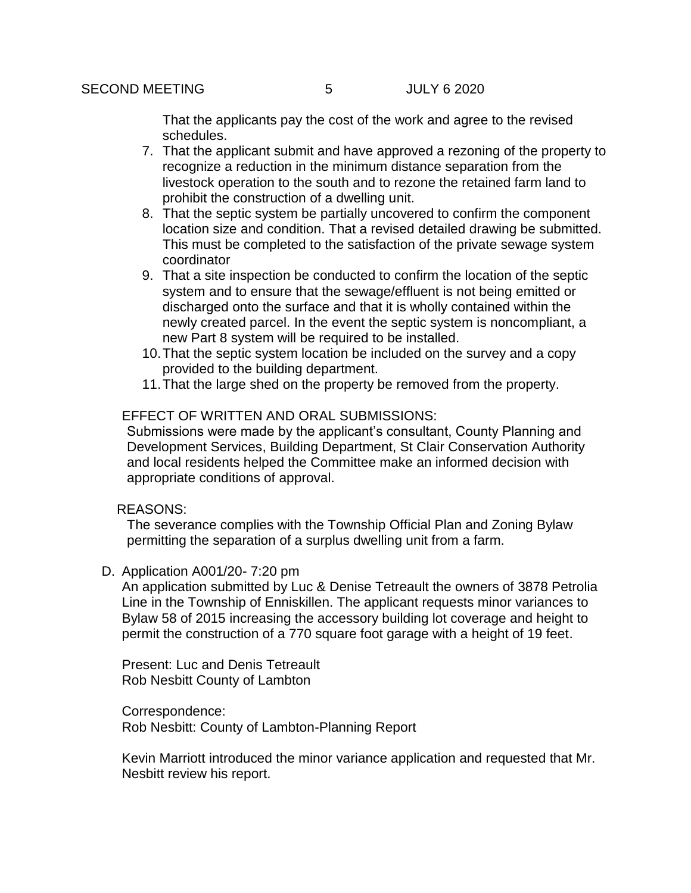That the applicants pay the cost of the work and agree to the revised schedules.

- 7. That the applicant submit and have approved a rezoning of the property to recognize a reduction in the minimum distance separation from the livestock operation to the south and to rezone the retained farm land to prohibit the construction of a dwelling unit.
- 8. That the septic system be partially uncovered to confirm the component location size and condition. That a revised detailed drawing be submitted. This must be completed to the satisfaction of the private sewage system coordinator
- 9. That a site inspection be conducted to confirm the location of the septic system and to ensure that the sewage/effluent is not being emitted or discharged onto the surface and that it is wholly contained within the newly created parcel. In the event the septic system is noncompliant, a new Part 8 system will be required to be installed.
- 10.That the septic system location be included on the survey and a copy provided to the building department.
- 11.That the large shed on the property be removed from the property.

## EFFECT OF WRITTEN AND ORAL SUBMISSIONS:

Submissions were made by the applicant's consultant, County Planning and Development Services, Building Department, St Clair Conservation Authority and local residents helped the Committee make an informed decision with appropriate conditions of approval.

#### REASONS:

The severance complies with the Township Official Plan and Zoning Bylaw permitting the separation of a surplus dwelling unit from a farm.

D. Application A001/20- 7:20 pm

An application submitted by Luc & Denise Tetreault the owners of 3878 Petrolia Line in the Township of Enniskillen. The applicant requests minor variances to Bylaw 58 of 2015 increasing the accessory building lot coverage and height to permit the construction of a 770 square foot garage with a height of 19 feet.

Present: Luc and Denis Tetreault Rob Nesbitt County of Lambton

Correspondence: Rob Nesbitt: County of Lambton-Planning Report

Kevin Marriott introduced the minor variance application and requested that Mr. Nesbitt review his report.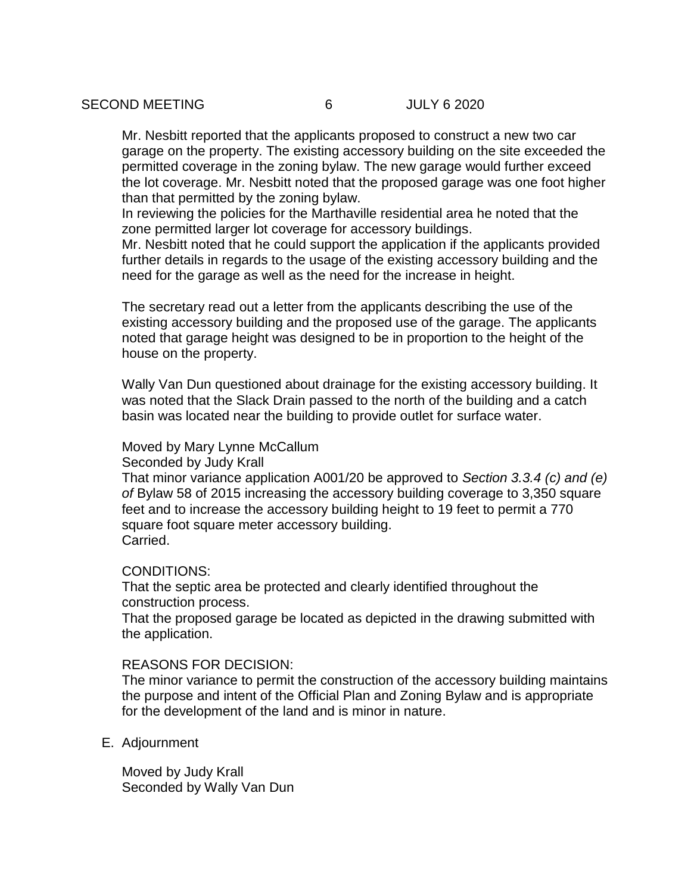Mr. Nesbitt reported that the applicants proposed to construct a new two car garage on the property. The existing accessory building on the site exceeded the permitted coverage in the zoning bylaw. The new garage would further exceed the lot coverage. Mr. Nesbitt noted that the proposed garage was one foot higher than that permitted by the zoning bylaw.

In reviewing the policies for the Marthaville residential area he noted that the zone permitted larger lot coverage for accessory buildings.

Mr. Nesbitt noted that he could support the application if the applicants provided further details in regards to the usage of the existing accessory building and the need for the garage as well as the need for the increase in height.

The secretary read out a letter from the applicants describing the use of the existing accessory building and the proposed use of the garage. The applicants noted that garage height was designed to be in proportion to the height of the house on the property.

Wally Van Dun questioned about drainage for the existing accessory building. It was noted that the Slack Drain passed to the north of the building and a catch basin was located near the building to provide outlet for surface water.

### Moved by Mary Lynne McCallum

Seconded by Judy Krall

That minor variance application A001/20 be approved to *Section 3.3.4 (c) and (e) of* Bylaw 58 of 2015 increasing the accessory building coverage to 3,350 square feet and to increase the accessory building height to 19 feet to permit a 770 square foot square meter accessory building. Carried.

## CONDITIONS:

That the septic area be protected and clearly identified throughout the construction process.

That the proposed garage be located as depicted in the drawing submitted with the application.

#### REASONS FOR DECISION:

The minor variance to permit the construction of the accessory building maintains the purpose and intent of the Official Plan and Zoning Bylaw and is appropriate for the development of the land and is minor in nature.

E. Adjournment

Moved by Judy Krall Seconded by Wally Van Dun